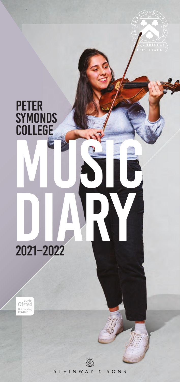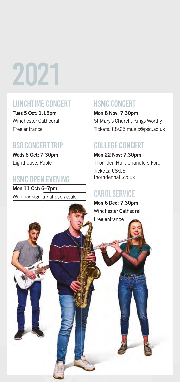# 2021

# LUNCHTIME CONCERT

**Tues 5 Oct: 1.15pm**

Winchester Cathedral

Free entrance

# BSO CONCERT TRIP

**Weds 6 Oct: 7.30pm** Lighthouse, Poole

# HSMC OPEN EVENING

**Mon 11 Oct: 6–7pm** Webinar sign-up at psc.ac.uk

# HSMC CONCERT

**Mon 8 Nov: 7:30pm** St Mary's Church, Kings Worthy Tickets: £8/£5 music@psc.ac.uk

# COLLEGE CONCERT

**Mon 22 Nov: 7.30pm** Thornden Hall, Chandlers Ford

Tickets: £8/£5 thorndenhall.co.uk

# CAROL SERVICE

**Mon 6 Dec: 7.30pm** Winchester Cathedral Free entrance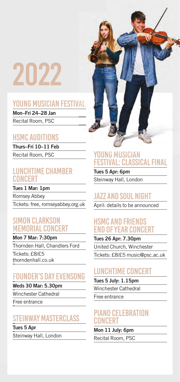# 2022

# YOUNG MUSICIAN FESTIVAL

**Mon–Fri 24–28 Jan** Recital Room, PSC

# HSMC AUDITIONS

**Thurs–Fri 10–11 Feb** Recital Room, PSC

### LUNCHTIME CHAMBER **CONCERT**

**Tues 1 Mar: 1pm** Romsey Abbey Tickets: free, romseyabbey.org.uk

#### SIMON CLARKSON MEMORIAL CONCERT

#### **Mon 7 Mar: 7:30pm**

Thornden Hall, Chandlers Ford

Tickets: £8/£5 thorndenhall.co.uk

# FOUNDER'S DAY EVENSONG

#### **Weds 30 Mar: 5.30pm**

Winchester Cathedral

Free entrance

# STEINWAY MASTERCLASS

**Tues 5 Apr** Steinway Hall, London



# YOUNG MUSICIAN FESTIVAL: CLASSICAL FINAL

**Tues 5 Apr: 6pm** Steinway Hall, London

# JAZZ AND SOUL NIGHT

April: details to be announced

## HSMC AND FRIENDS END OF YEAR CONCERT

**Tues 26 Apr: 7.30pm** United Church, Winchester Tickets: £8/£5 music@psc.ac.uk

# LUNCHTIME CONCERT

**Tues 5 July: 1.15pm** Winchester Cathedral

Free entrance

# PIANO CELEBRATION CONCERT

**Mon 11 July: 6pm** Recital Room, PSC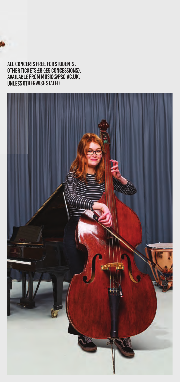#### All concerts free for students. other tickets £8 (£5 concessions), Available from music@psc.ac.uk, UNLESS OTHERWISE STATED.

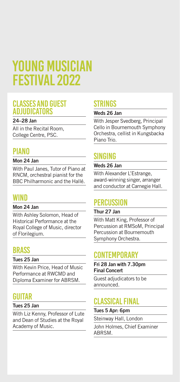# YOUNG MUSICIAN Festival 2022

#### CLASSES AND GUEST ADJUDICATORS

#### **24–28 Jan**

All in the Recital Room, College Centre, PSC.

### **PIANO**

#### **Mon 24 Jan**

With Paul Janes, Tutor of Piano at RNCM, orchestral pianist for the BBC Philharmonic and the Hallé.

## **WIND**

#### **Mon 24 Jan**

With Ashley Solomon, Head of Historical Performance at the Royal College of Music, director of Florilegium.

# **BRASS**

#### **Tues 25 Jan**

With Kevin Price, Head of Music Performance at RWCMD and Diploma Examiner for ABRSM.

# GUITAR

#### **Tues 25 Jan**

With Liz Kenny, Professor of Lute and Dean of Studies at the Royal Academy of Music.

# STRINGS

#### **Weds 26 Jan**

With Jesper Svedberg, Principal Cello in Bournemouth Symphony Orchestra, cellist in Kungsbacka Piano Trio.

# SINGING

#### **Weds 26 Jan**

With Alexander L'Estrange, award-winning singer, arranger and conductor at Carnegie Hall.

# **PERCUSSION**

#### **Thur 27 Jan**

With Matt King, Professor of Percussion at RMSoM, Principal Percussion at Bournemouth Symphony Orchestra.

# **CONTEMPORARY**

**Fri 28 Jan with 7.30pm Final Concert** 

Guest adjudicators to be announced.

# CLASSICAL FINAL

#### **Tues 5 Apr: 6pm**

Steinway Hall, London

John Holmes, Chief Examiner ABRSM.